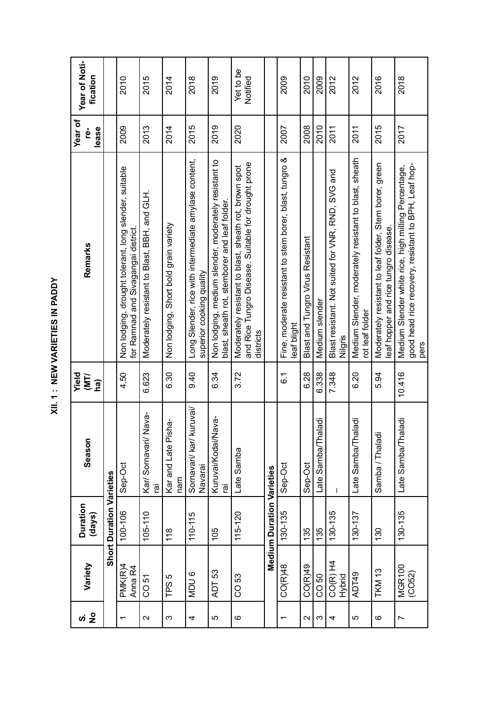| í                                                                                                              |
|----------------------------------------------------------------------------------------------------------------|
|                                                                                                                |
|                                                                                                                |
| l                                                                                                              |
|                                                                                                                |
|                                                                                                                |
|                                                                                                                |
| ï<br>۱                                                                                                         |
| ī                                                                                                              |
|                                                                                                                |
|                                                                                                                |
|                                                                                                                |
|                                                                                                                |
|                                                                                                                |
|                                                                                                                |
|                                                                                                                |
| and the state of the state of the state of the state of the state of the state of the state of the state of th |
|                                                                                                                |
|                                                                                                                |
|                                                                                                                |
| Ï<br>֠                                                                                                         |
| l<br>ï                                                                                                         |
|                                                                                                                |
| ٠<br>٠                                                                                                         |
| f<br>í                                                                                                         |
|                                                                                                                |
|                                                                                                                |
| I                                                                                                              |
|                                                                                                                |

| Season<br><b>Duration</b><br>(days)<br>Variety                        |  | <b>TINI</b><br><b>MIL</b><br>(ra | Remarks                                                                                                                   | Year of<br>lease<br>ġ | Year of Noti-<br>fication |
|-----------------------------------------------------------------------|--|----------------------------------|---------------------------------------------------------------------------------------------------------------------------|-----------------------|---------------------------|
| <b>Short Duration Varieties</b>                                       |  |                                  |                                                                                                                           |                       |                           |
| Sep-Oct<br>100-106<br>PMK(R)4<br>Anna R4                              |  | 4.50                             | Non lodging, drought tolerant, long slender, suitable<br>for Ramnad and Sivagangai district.                              | 2009                  | 2010                      |
| Nava-<br>Kar/Sornavari/<br>ក្ខា<br>$105 - 110$<br>CO 51               |  | 6.623                            | Moderately resistant to Blast, BBH, and GLH                                                                               | 2013                  | 2015                      |
| Kar and Late Pisha-<br>nam<br>118<br>TPS 5                            |  | 6.30                             | Non lodging, Shot bold grain variety                                                                                      | 2014                  | 2014                      |
| kuruvai/<br>Sornavari/ kar/<br>Navarai<br>110-115<br>MDU <sub>6</sub> |  | 0.40                             | Long Slender, rice with intermediate amylase content,<br>superior cooking quality                                         | 2015                  | 2018                      |
| lava-<br>Kuruvai/Kodai/N<br><u>ie</u><br>105<br>ADT 53                |  | 6.34                             | Non lodging, medium slender, moderately resistant to<br>blast, sheath rot, stemborer and leaf folder.                     | 2019                  | 2019                      |
| Late Samba<br>115-120<br>CO 53                                        |  | 3.72                             | and Rice Tungro Disease. Suitable for drought prone<br>Moderately resistant to blast, sheath rot, brown spot<br>districts | 2020                  | Yet to be<br>Notified     |
| <b>Medium Duration Varieties</b>                                      |  |                                  |                                                                                                                           |                       |                           |
| Sep-Oct<br>130-135<br>CO(R)48                                         |  | $\overline{6}$ .                 | Fine, moderate resistant to stem borer, blast, tungro &<br>leaf blight                                                    | 2007                  | 2009                      |
| Sep-Oct<br>135<br>CO(R)49                                             |  | 6.28                             | <b>Blast and Tungro Virus Resistant</b>                                                                                   | 2008                  | 2010                      |
| Late Samba/Thaladi<br>135<br>CO 50                                    |  | 6.338                            | Medium slender                                                                                                            | 2010                  | 2009                      |
| 130-135<br>$CO(R)$ H4<br>Hybrid                                       |  | 7.348                            | Blast resistant. Not suited for VNR, RND, SVG and<br>Nilgris                                                              | 2011                  | 2012                      |
| Late Samba/Thaladi<br>130-137<br>ADT49                                |  | 6.20                             | Medium Slender, moderately resistant to blast, sheath<br>rot leaf folder                                                  | 2011                  | 2012                      |
| Samba / Thalad<br>130<br><b>TKM 13</b>                                |  | 5.94                             | Moderately resistant to leaf folder, Stem borer, green<br>eaf hopper and rice tungro disease.                             | 2015                  | 2016                      |
| Late Samba/Thaladi<br>130-135<br><b>MGR100</b><br>(CO52)              |  | 10.416                           | good head rice recovery, resistant to BPH, Leaf hop-<br>Medium Slender white rice, high milling Percentage,<br>pers       | 2017                  | 2018                      |